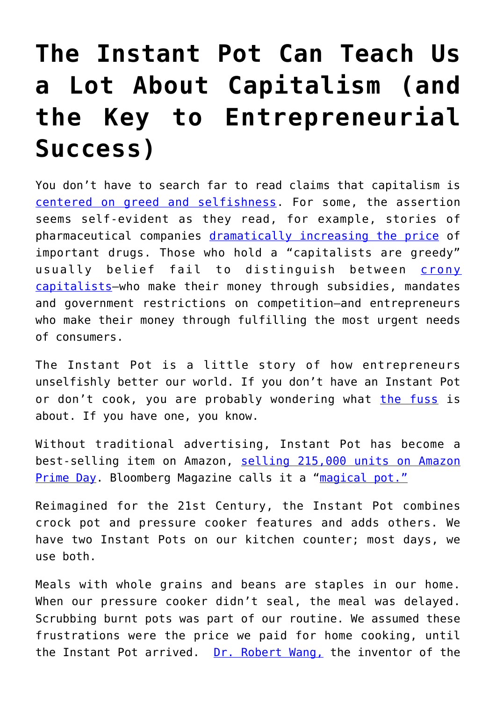## **[The Instant Pot Can Teach Us](https://intellectualtakeout.org/2018/01/the-instant-pot-can-teach-us-a-lot-about-capitalism-and-the-key-to-entrepreneurial-success/) [a Lot About Capitalism \(and](https://intellectualtakeout.org/2018/01/the-instant-pot-can-teach-us-a-lot-about-capitalism-and-the-key-to-entrepreneurial-success/) [the Key to Entrepreneurial](https://intellectualtakeout.org/2018/01/the-instant-pot-can-teach-us-a-lot-about-capitalism-and-the-key-to-entrepreneurial-success/) [Success\)](https://intellectualtakeout.org/2018/01/the-instant-pot-can-teach-us-a-lot-about-capitalism-and-the-key-to-entrepreneurial-success/)**

You don't have to search far to read claims that capitalism is [centered on greed and selfishness](https://www.forbes.com/sites/jamespoulos/2013/06/29/the-death-of-self-centered-capitalism/). For some, the assertion seems self-evident as they read, for example, stories of pharmaceutical companies [dramatically increasing the price](https://www.nytimes.com/2016/02/03/business/drug-makers-calculated-price-increases-with-profit-in-mind-memos-show.html) of important drugs. Those who hold a "capitalists are greedy" usually belief fail to distinguish between [crony](http://thehill.com/blogs/pundits-blog/economy-budget/326611-dont-confuse-the-free-market-with-crony-capitalism) [capitalists—](http://thehill.com/blogs/pundits-blog/economy-budget/326611-dont-confuse-the-free-market-with-crony-capitalism)who make their money through subsidies, mandates and government restrictions on competition—and entrepreneurs who make their money through fulfilling the most urgent needs of consumers.

The Instant Pot is a little story of how entrepreneurs unselfishly better our world. If you don't have an Instant Pot or don't cook, you are probably wondering what [the fuss](https://www.cnbc.com/2017/11/27/instant-pot-is-so-popular-that-its-out-of-stock-at-numerous-retailers.html) is about. If you have one, you know.

Without traditional advertising, Instant Pot has become a best-selling item on Amazon, [selling 215,000 units on Amazon](https://www.inc.com/bill-murphy-jr/instant-pot-how-a-tiny-company-with-no-marketing-landed-the-no-1-product-on-amaz.html) [Prime Day.](https://www.inc.com/bill-murphy-jr/instant-pot-how-a-tiny-company-with-no-marketing-landed-the-no-1-product-on-amaz.html) Bloomberg Magazine calls it a "[magical pot."](https://www.bloomberg.com/news/articles/2017-02-24/instant-pot-review-can-it-really-cook-anything)

Reimagined for the 21st Century, the Instant Pot combines crock pot and pressure cooker features and adds others. We have two Instant Pots on our kitchen counter; most days, we use both.

Meals with whole grains and beans are staples in our home. When our pressure cooker didn't seal, the meal was delayed. Scrubbing burnt pots was part of our routine. We assumed these frustrations were the price we paid for home cooking, until the Instant Pot arrived. [Dr. Robert Wang,](https://www.linkedin.com/in/jiweiwang/) the inventor of the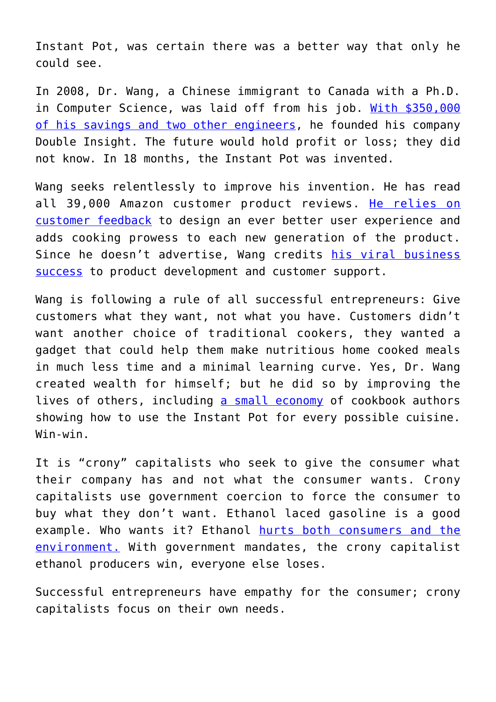Instant Pot, was certain there was a better way that only he could see.

In 2008, Dr. Wang, a Chinese immigrant to Canada with a Ph.D. in Computer Science, was laid off from his job. [With \\$350,000](https://www.nytimes.com/2017/12/17/business/instant-pot.html) [of his savings and two other engineers](https://www.nytimes.com/2017/12/17/business/instant-pot.html), he founded his company Double Insight. The future would hold profit or loss; they did not know. In 18 months, the Instant Pot was invented.

Wang seeks relentlessly to improve his invention. He has read all 39,000 Amazon customer product reviews. [He relies on](https://www.cnbc.com/2017/11/24/why-robert-wangs-instant-pot-is-a-bestseller-on-amazon.html) [customer feedback](https://www.cnbc.com/2017/11/24/why-robert-wangs-instant-pot-is-a-bestseller-on-amazon.html) to design an ever better user experience and adds cooking prowess to each new generation of the product. Since he doesn't advertise, Wang credits [his viral business](https://www.nytimes.com/2017/12/17/business/instant-pot.html) [success](https://www.nytimes.com/2017/12/17/business/instant-pot.html) to product development and customer support.

Wang is following a rule of all successful entrepreneurs: Give customers what they want, not what you have. Customers didn't want another choice of traditional cookers, they wanted a gadget that could help them make nutritious home cooked meals in much less time and a minimal learning curve. Yes, Dr. Wang created wealth for himself; but he did so by improving the lives of others, including [a small economy](https://www.theringer.com/tech/2017/12/27/16822948/year-of-the-instant-pot-amazon-fandom) of cookbook authors showing how to use the Instant Pot for every possible cuisine. Win-win.

It is "crony" capitalists who seek to give the consumer what their company has and not what the consumer wants. Crony capitalists use government coercion to force the consumer to buy what they don't want. Ethanol laced gasoline is a good example. Who wants it? Ethanol [hurts both consumers and the](http://e360.yale.edu/features/the_case_against_ethanol_bad_for_environment) [environment.](http://e360.yale.edu/features/the_case_against_ethanol_bad_for_environment) With government mandates, the crony capitalist ethanol producers win, everyone else loses.

Successful entrepreneurs have empathy for the consumer; crony capitalists focus on their own needs.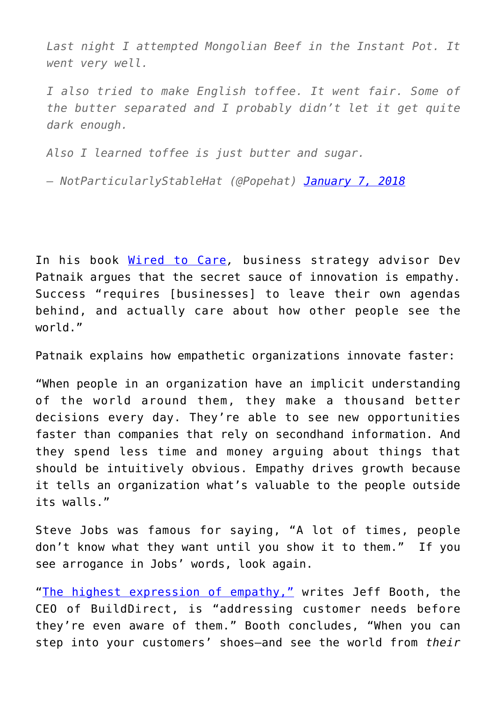*Last night I attempted Mongolian Beef in the Instant Pot. It went very well.*

*I also tried to make English toffee. It went fair. Some of the butter separated and I probably didn't let it get quite dark enough.*

*Also I learned toffee is just butter and sugar.*

*— NotParticularlyStableHat (@Popehat) [January 7, 2018](https://twitter.com/Popehat/status/950078101391683584?ref_src=twsrc%5Etfw)*

In his book [Wired to Care](http://amzn.to/2D9jxqT)*,* business strategy advisor Dev Patnaik argues that the secret sauce of innovation is empathy. Success "requires [businesses] to leave their own agendas behind, and actually care about how other people see the world."

Patnaik explains how empathetic organizations innovate faster:

"When people in an organization have an implicit understanding of the world around them, they make a thousand better decisions every day. They're able to see new opportunities faster than companies that rely on secondhand information. And they spend less time and money arguing about things that should be intuitively obvious. Empathy drives growth because it tells an organization what's valuable to the people outside its walls."

Steve Jobs was famous for saying, "A lot of times, people don't know what they want until you show it to them." If you see arrogance in Jobs' words, look again.

"[The highest expression of empathy,"](ttps://www.fastcompany.com/3052337/why-genuine-empathy-is-good-for-business) writes Jeff Booth, the CEO of BuildDirect, is "addressing customer needs before they're even aware of them." Booth concludes, "When you can step into your customers' shoes–and see the world from *their*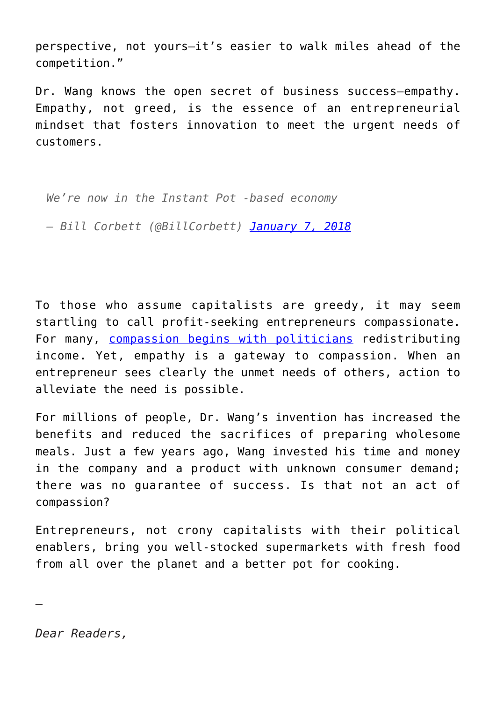perspective, not yours–it's easier to walk miles ahead of the competition."

Dr. Wang knows the open secret of business success—empathy. Empathy, not greed, is the essence of an entrepreneurial mindset that fosters innovation to meet the urgent needs of customers.

*We're now in the Instant Pot -based economy — Bill Corbett (@BillCorbett) [January 7, 2018](https://twitter.com/BillCorbett/status/950079336287227904?ref_src=twsrc%5Etfw)*

To those who assume capitalists are greedy, it may seem startling to call profit-seeking entrepreneurs compassionate. For many, [compassion begins with politicians](https://fee.org/articles/20-government-can-be-a-compassionate-alternative-to-the-harshness-of-the-marketplace/) redistributing income. Yet, empathy is a gateway to compassion. When an entrepreneur sees clearly the unmet needs of others, action to alleviate the need is possible.

For millions of people, Dr. Wang's invention has increased the benefits and reduced the sacrifices of preparing wholesome meals. Just a few years ago, Wang invested his time and money in the company and a product with unknown consumer demand; there was no guarantee of success. Is that not an act of compassion?

Entrepreneurs, not crony capitalists with their political enablers, bring you well-stocked supermarkets with fresh food from all over the planet and a better pot for cooking.

*Dear Readers,*

—